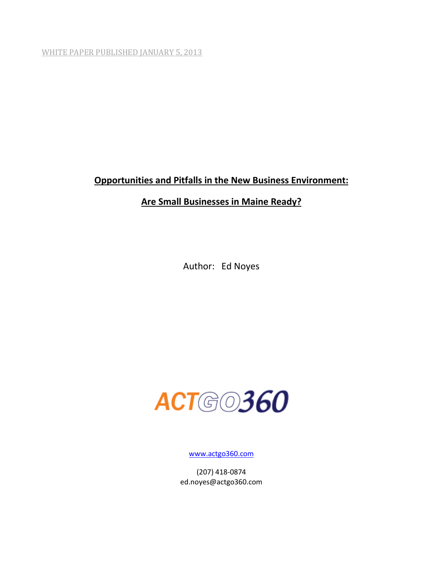WHITE PAPER PUBLISHED JANUARY 5, 2013

# **Opportunities and Pitfalls in the New Business Environment:**

# **Are Small Businesses in Maine Ready?**

Author: Ed Noyes



[www.actgo360.com](http://www.actgo360.com/)

(207) 418-0874 ed.noyes@actgo360.com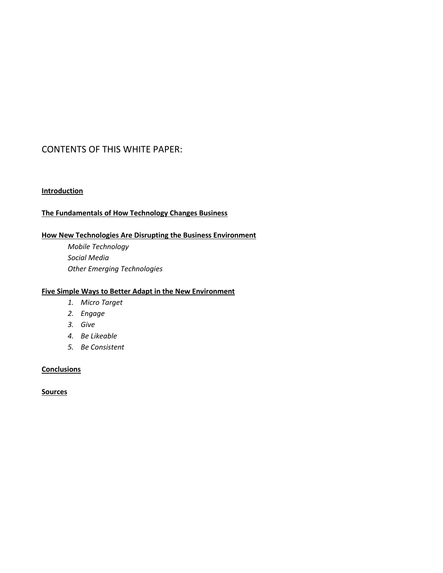# CONTENTS OF THIS WHITE PAPER:

## **Introduction**

## **The Fundamentals of How Technology Changes Business**

## **How New Technologies Are Disrupting the Business Environment**

*Mobile Technology Social Media Other Emerging Technologies*

## **Five Simple Ways to Better Adapt in the New Environment**

- *1. Micro Target*
- *2. Engage*
- *3. Give*
- *4. Be Likeable*
- *5. Be Consistent*

### **Conclusions**

**Sources**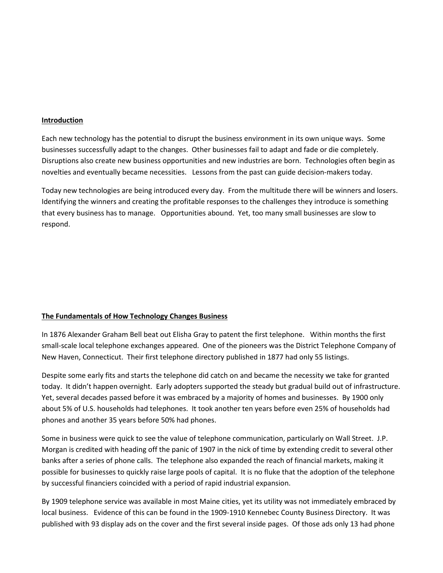#### **Introduction**

Each new technology has the potential to disrupt the business environment in its own unique ways. Some businesses successfully adapt to the changes. Other businesses fail to adapt and fade or die completely. Disruptions also create new business opportunities and new industries are born. Technologies often begin as novelties and eventually became necessities. Lessons from the past can guide decision-makers today.

Today new technologies are being introduced every day. From the multitude there will be winners and losers. Identifying the winners and creating the profitable responses to the challenges they introduce is something that every business has to manage. Opportunities abound. Yet, too many small businesses are slow to respond.

#### **The Fundamentals of How Technology Changes Business**

In 1876 Alexander Graham Bell beat out Elisha Gray to patent the first telephone. Within months the first small-scale local telephone exchanges appeared. One of the pioneers was the District Telephone Company of New Haven, Connecticut. Their first telephone directory published in 1877 had only 55 listings.

Despite some early fits and starts the telephone did catch on and became the necessity we take for granted today. It didn't happen overnight. Early adopters supported the steady but gradual build out of infrastructure. Yet, several decades passed before it was embraced by a majority of homes and businesses. By 1900 only about 5% of U.S. households had telephones. It took another ten years before even 25% of households had phones and another 35 years before 50% had phones.

Some in business were quick to see the value of telephone communication, particularly on Wall Street. J.P. Morgan is credited with heading off the panic of 1907 in the nick of time by extending credit to several other banks after a series of phone calls. The telephone also expanded the reach of financial markets, making it possible for businesses to quickly raise large pools of capital. It is no fluke that the adoption of the telephone by successful financiers coincided with a period of rapid industrial expansion.

By 1909 telephone service was available in most Maine cities, yet its utility was not immediately embraced by local business. Evidence of this can be found in the 1909-1910 Kennebec County Business Directory. It was published with 93 display ads on the cover and the first several inside pages. Of those ads only 13 had phone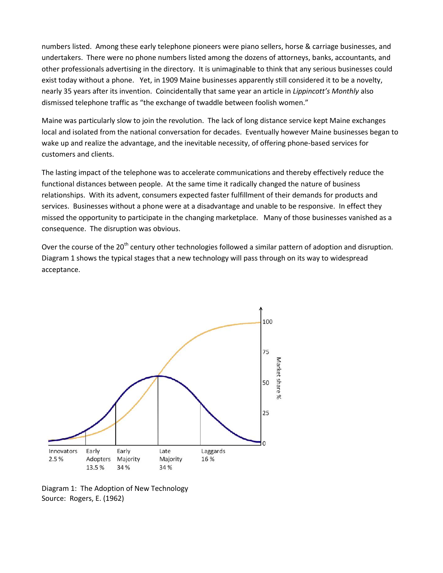numbers listed. Among these early telephone pioneers were piano sellers, horse & carriage businesses, and undertakers. There were no phone numbers listed among the dozens of attorneys, banks, accountants, and other professionals advertising in the directory. It is unimaginable to think that any serious businesses could exist today without a phone. Yet, in 1909 Maine businesses apparently still considered it to be a novelty, nearly 35 years after its invention. Coincidentally that same year an article in *Lippincott's Monthly* also dismissed telephone traffic as "the exchange of twaddle between foolish women."

Maine was particularly slow to join the revolution. The lack of long distance service kept Maine exchanges local and isolated from the national conversation for decades. Eventually however Maine businesses began to wake up and realize the advantage, and the inevitable necessity, of offering phone-based services for customers and clients.

The lasting impact of the telephone was to accelerate communications and thereby effectively reduce the functional distances between people. At the same time it radically changed the nature of business relationships. With its advent, consumers expected faster fulfillment of their demands for products and services. Businesses without a phone were at a disadvantage and unable to be responsive. In effect they missed the opportunity to participate in the changing marketplace. Many of those businesses vanished as a consequence. The disruption was obvious.

Over the course of the 20<sup>th</sup> century other technologies followed a similar pattern of adoption and disruption. Diagram 1 shows the typical stages that a new technology will pass through on its way to widespread acceptance.



Diagram 1: The Adoption of New Technology Source: Rogers, E. (1962)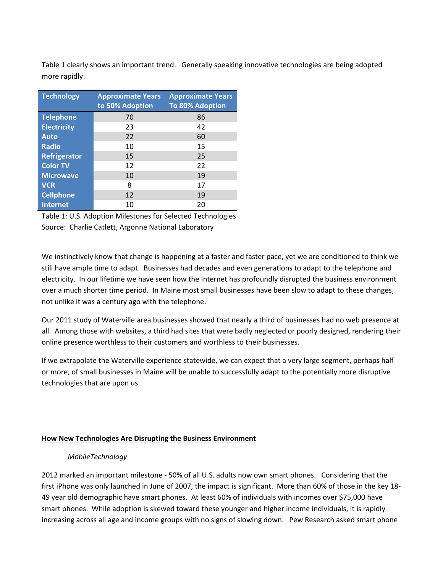Table 1 clearly shows an important trend. Generally speaking innovative technologies are being adopted more rapidly.

| <b>Technology</b>  | <b>Approximate Years</b><br>to 50% Adoption | <b>Approximate Years</b><br><b>To 80% Adoption</b> |
|--------------------|---------------------------------------------|----------------------------------------------------|
| <b>Telephone</b>   | 70                                          | 86                                                 |
| <b>Electricity</b> | 23                                          | 42                                                 |
| Auto               | 22                                          | 60                                                 |
| <b>Radio</b>       | 10                                          | 15                                                 |
| Refrigerator       | 15                                          | 25                                                 |
| <b>Color TV</b>    | 12                                          | 22                                                 |
| <b>Microwave</b>   | 10                                          | 19                                                 |
| <b>VCR</b>         | 8                                           | 17                                                 |
| <b>Cellphone</b>   | 12                                          | 19                                                 |
| <b>Internet</b>    | 10                                          | 20                                                 |

Table 1: U.S. Adoption Milestones for Selected Technologies Source: Charlie Catlett, Argonne National Laboratory

We instinctively know that change is happening at a faster and faster pace, yet we are conditioned to think we still have ample time to adapt. Businesses had decades and even generations to adapt to the telephone and electricity. In our lifetime we have seen how the Internet has profoundly disrupted the business environment over a much shorter time period. In Maine most small businesses have been slow to adapt to these changes, not unlike it was a century ago with the telephone.

Our 2011 study of Waterville area businesses showed that nearly a third of businesses had no web presence at all. Among those with websites, a third had sites that were badly neglected or poorly designed, rendering their online presence worthless to their customers and worthless to their businesses.

If we extrapolate the Waterville experience statewide, we can expect that a very large segment, perhaps half or more, of small businesses in Maine will be unable to successfully adapt to the potentially more disruptive technologies that are upon us.

### **How New Technologies Are Disrupting the Business Environment**

### *MobileTechnology*

2012 marked an important milestone - 50% of all U.S. adults now own smart phones. Considering that the first iPhone was only launched in June of 2007, the impact is significant. More than 60% of those in the key 18- 49 year old demographic have smart phones. At least 60% of individuals with incomes over \$75,000 have smart phones. While adoption is skewed toward these younger and higher income individuals, it is rapidly increasing across all age and income groups with no signs of slowing down. Pew Research asked smart phone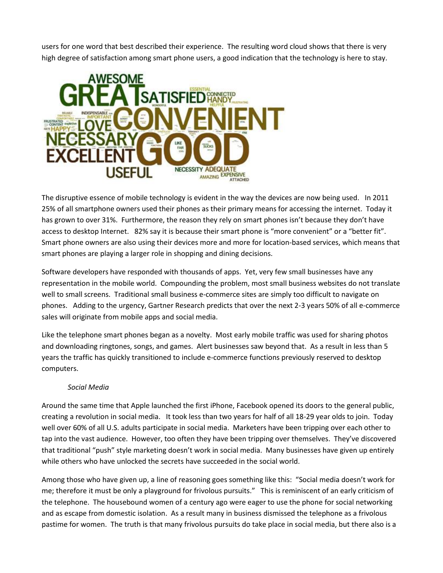users for one word that best described their experience. The resulting word cloud shows that there is very high degree of satisfaction among smart phone users, a good indication that the technology is here to stay.



The disruptive essence of mobile technology is evident in the way the devices are now being used. In 2011 25% of all smartphone owners used their phones as their primary means for accessing the internet. Today it has grown to over 31%. Furthermore, the reason they rely on smart phones isn't because they don't have access to desktop Internet. 82% say it is because their smart phone is "more convenient" or a "better fit". Smart phone owners are also using their devices more and more for location-based services, which means that smart phones are playing a larger role in shopping and dining decisions.

Software developers have responded with thousands of apps. Yet, very few small businesses have any representation in the mobile world. Compounding the problem, most small business websites do not translate well to small screens. Traditional small business e-commerce sites are simply too difficult to navigate on phones. Adding to the urgency, Gartner Research predicts that over the next 2-3 years 50% of all e-commerce sales will originate from mobile apps and social media.

Like the telephone smart phones began as a novelty. Most early mobile traffic was used for sharing photos and downloading ringtones, songs, and games. Alert businesses saw beyond that. As a result in less than 5 years the traffic has quickly transitioned to include e-commerce functions previously reserved to desktop computers.

### *Social Media*

Around the same time that Apple launched the first iPhone, Facebook opened its doors to the general public, creating a revolution in social media. It took less than two years for half of all 18-29 year olds to join. Today well over 60% of all U.S. adults participate in social media. Marketers have been tripping over each other to tap into the vast audience. However, too often they have been tripping over themselves. They've discovered that traditional "push" style marketing doesn't work in social media. Many businesses have given up entirely while others who have unlocked the secrets have succeeded in the social world.

Among those who have given up, a line of reasoning goes something like this: "Social media doesn't work for me; therefore it must be only a playground for frivolous pursuits." This is reminiscent of an early criticism of the telephone. The housebound women of a century ago were eager to use the phone for social networking and as escape from domestic isolation. As a result many in business dismissed the telephone as a frivolous pastime for women. The truth is that many frivolous pursuits do take place in social media, but there also is a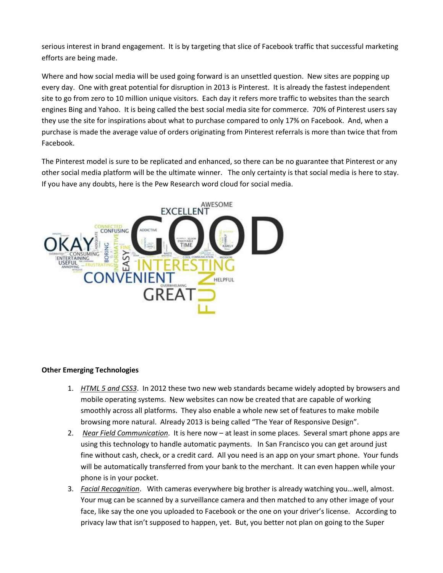serious interest in brand engagement. It is by targeting that slice of Facebook traffic that successful marketing efforts are being made.

Where and how social media will be used going forward is an unsettled question. New sites are popping up every day. One with great potential for disruption in 2013 is Pinterest. It is already the fastest independent site to go from zero to 10 million unique visitors. Each day it refers more traffic to websites than the search engines Bing and Yahoo. It is being called the best social media site for commerce. 70% of Pinterest users say they use the site for inspirations about what to purchase compared to only 17% on Facebook. And, when a purchase is made the average value of orders originating from Pinterest referrals is more than twice that from Facebook.

The Pinterest model is sure to be replicated and enhanced, so there can be no guarantee that Pinterest or any other social media platform will be the ultimate winner. The only certainty is that social media is here to stay. If you have any doubts, here is the Pew Research word cloud for social media.



## **Other Emerging Technologies**

- 1. *HTML 5 and CSS3*. In 2012 these two new web standards became widely adopted by browsers and mobile operating systems. New websites can now be created that are capable of working smoothly across all platforms. They also enable a whole new set of features to make mobile browsing more natural. Already 2013 is being called "The Year of Responsive Design".
- 2. *Near Field Communication*. It is here now at least in some places. Several smart phone apps are using this technology to handle automatic payments. In San Francisco you can get around just fine without cash, check, or a credit card. All you need is an app on your smart phone. Your funds will be automatically transferred from your bank to the merchant. It can even happen while your phone is in your pocket.
- 3. *Facial Recognition*. With cameras everywhere big brother is already watching you…well, almost. Your mug can be scanned by a surveillance camera and then matched to any other image of your face, like say the one you uploaded to Facebook or the one on your driver's license. According to privacy law that isn't supposed to happen, yet. But, you better not plan on going to the Super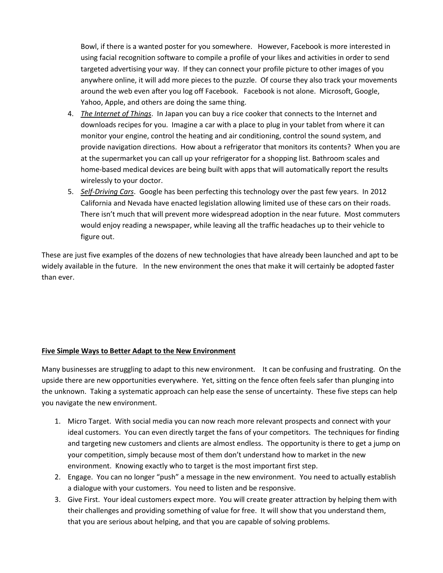Bowl, if there is a wanted poster for you somewhere. However, Facebook is more interested in using facial recognition software to compile a profile of your likes and activities in order to send targeted advertising your way. If they can connect your profile picture to other images of you anywhere online, it will add more pieces to the puzzle. Of course they also track your movements around the web even after you log off Facebook. Facebook is not alone. Microsoft, Google, Yahoo, Apple, and others are doing the same thing.

- 4. *The Internet of Things*. In Japan you can buy a rice cooker that connects to the Internet and downloads recipes for you. Imagine a car with a place to plug in your tablet from where it can monitor your engine, control the heating and air conditioning, control the sound system, and provide navigation directions. How about a refrigerator that monitors its contents? When you are at the supermarket you can call up your refrigerator for a shopping list. Bathroom scales and home-based medical devices are being built with apps that will automatically report the results wirelessly to your doctor.
- 5. *Self-Driving Cars*. Google has been perfecting this technology over the past few years. In 2012 California and Nevada have enacted legislation allowing limited use of these cars on their roads. There isn't much that will prevent more widespread adoption in the near future. Most commuters would enjoy reading a newspaper, while leaving all the traffic headaches up to their vehicle to figure out.

These are just five examples of the dozens of new technologies that have already been launched and apt to be widely available in the future. In the new environment the ones that make it will certainly be adopted faster than ever.

## **Five Simple Ways to Better Adapt to the New Environment**

Many businesses are struggling to adapt to this new environment. It can be confusing and frustrating. On the upside there are new opportunities everywhere. Yet, sitting on the fence often feels safer than plunging into the unknown. Taking a systematic approach can help ease the sense of uncertainty. These five steps can help you navigate the new environment.

- 1. Micro Target. With social media you can now reach more relevant prospects and connect with your ideal customers. You can even directly target the fans of your competitors. The techniques for finding and targeting new customers and clients are almost endless. The opportunity is there to get a jump on your competition, simply because most of them don't understand how to market in the new environment. Knowing exactly who to target is the most important first step.
- 2. Engage. You can no longer "push" a message in the new environment. You need to actually establish a dialogue with your customers. You need to listen and be responsive.
- 3. Give First. Your ideal customers expect more. You will create greater attraction by helping them with their challenges and providing something of value for free. It will show that you understand them, that you are serious about helping, and that you are capable of solving problems.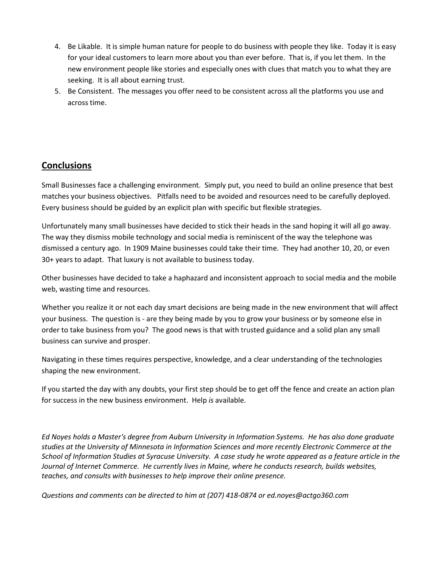- 4. Be Likable. It is simple human nature for people to do business with people they like. Today it is easy for your ideal customers to learn more about you than ever before. That is, if you let them. In the new environment people like stories and especially ones with clues that match you to what they are seeking. It is all about earning trust.
- 5. Be Consistent. The messages you offer need to be consistent across all the platforms you use and across time.

# **Conclusions**

Small Businesses face a challenging environment. Simply put, you need to build an online presence that best matches your business objectives. Pitfalls need to be avoided and resources need to be carefully deployed. Every business should be guided by an explicit plan with specific but flexible strategies.

Unfortunately many small businesses have decided to stick their heads in the sand hoping it will all go away. The way they dismiss mobile technology and social media is reminiscent of the way the telephone was dismissed a century ago. In 1909 Maine businesses could take their time. They had another 10, 20, or even 30+ years to adapt. That luxury is not available to business today.

Other businesses have decided to take a haphazard and inconsistent approach to social media and the mobile web, wasting time and resources.

Whether you realize it or not each day smart decisions are being made in the new environment that will affect your business. The question is - are they being made by you to grow your business or by someone else in order to take business from you? The good news is that with trusted guidance and a solid plan any small business can survive and prosper.

Navigating in these times requires perspective, knowledge, and a clear understanding of the technologies shaping the new environment.

If you started the day with any doubts, your first step should be to get off the fence and create an action plan for success in the new business environment. Help *is* available.

*Ed Noyes holds a Master's degree from Auburn University in Information Systems. He has also done graduate studies at the University of Minnesota in Information Sciences and more recently Electronic Commerce at the School of Information Studies at Syracuse University. A case study he wrote appeared as a feature article in the Journal of Internet Commerce. He currently lives in Maine, where he conducts research, builds websites, teaches, and consults with businesses to help improve their online presence.*

*Questions and comments can be directed to him at (207) 418-0874 or ed.noyes@actgo360.com*